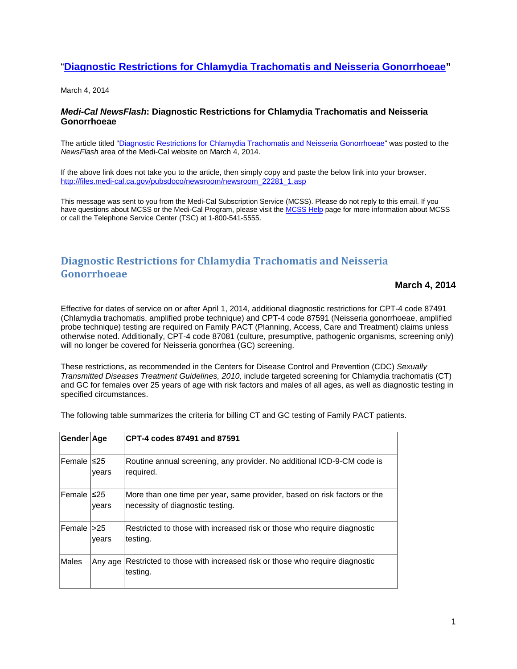## "**[Diagnostic Restrictions for Chlamydia Trachomatis and Neisseria Gonorrhoeae"](http://click.icptrack.com/icp/relay.php?r=93167983&msgid=425108&act=1PX2&c=1117600&destination=http%3A%2F%2Ffiles.medi-cal.ca.gov%2Fpubsdoco%2Fnewsroom%2Fnewsroom_22281_1.asp%3Futm_source%3DiContact%26utm_medium%3Demail%26utm_campaign%3DMedi-Cal%20NewsFlash%26utm_content%3D22281.1)**

March 4, 2014

## *Medi-Cal NewsFlash***: Diagnostic Restrictions for Chlamydia Trachomatis and Neisseria Gonorrhoeae**

The article titled ["Diagnostic Restrictions for Chlamydia Trachomatis and Neisseria Gonorrhoeae"](http://click.icptrack.com/icp/relay.php?r=93167983&msgid=425108&act=1PX2&c=1117600&destination=http%3A%2F%2Ffiles.medi-cal.ca.gov%2Fpubsdoco%2Fnewsroom%2Fnewsroom_22281_1.asp%3Futm_source%3DiContact%26utm_medium%3Demail%26utm_campaign%3DMedi-Cal%20NewsFlash%26utm_content%3D22281.1) was posted to the *NewsFlash* area of the Medi-Cal website on March 4, 2014.

If the above link does not take you to the article, then simply copy and paste the below link into your browser. [http://files.medi-cal.ca.gov/pubsdoco/newsroom/newsroom\\_22281\\_1.asp](http://files.medi-cal.ca.gov/pubsdoco/newsroom/newsroom_22281_1.asp)

This message was sent to you from the Medi-Cal Subscription Service (MCSS). Please do not reply to this email. If you have questions about MCSS or the Medi-Cal Program, please visit th[e MCSS Help](http://click.icptrack.com/icp/relay.php?r=93167983&msgid=425108&act=1PX2&c=1117600&destination=http%3A%2F%2Ffiles.medi-cal.ca.gov%2Fpubsdoco%2Fmcss%2Fmcss_help.asp%3Futm_source%3DiContact%26utm_medium%3Demail%26utm_campaign%3DMedi-Cal%20NewsFlash%26utm_content%3D22281.1) page for more information about MCSS or call the Telephone Service Center (TSC) at 1-800-541-5555.

## **Diagnostic Restrictions for Chlamydia Trachomatis and Neisseria Gonorrhoeae**

**March 4, 2014**

Effective for dates of service on or after April 1, 2014, additional diagnostic restrictions for CPT-4 code 87491 (Chlamydia trachomatis, amplified probe technique) and CPT-4 code 87591 (Neisseria gonorrhoeae, amplified probe technique) testing are required on Family PACT (Planning, Access, Care and Treatment) claims unless otherwise noted. Additionally, CPT-4 code 87081 (culture, presumptive, pathogenic organisms, screening only) will no longer be covered for Neisseria gonorrhea (GC) screening.

These restrictions, as recommended in the Centers for Disease Control and Prevention (CDC) *Sexually Transmitted Diseases Treatment Guidelines, 2010,* include targeted screening for Chlamydia trachomatis (CT) and GC for females over 25 years of age with risk factors and males of all ages, as well as diagnostic testing in specified circumstances.

The following table summarizes the criteria for billing CT and GC testing of Family PACT patients.

| Gender Age           |         | CPT-4 codes 87491 and 87591                                                                                  |
|----------------------|---------|--------------------------------------------------------------------------------------------------------------|
| Female $ $ $\leq$ 25 | vears   | Routine annual screening, any provider. No additional ICD-9-CM code is<br>required.                          |
| Female $ $ $\leq$ 25 | years   | More than one time per year, same provider, based on risk factors or the<br>necessity of diagnostic testing. |
| Female $ >25$        | vears   | Restricted to those with increased risk or those who require diagnostic<br>testing.                          |
| Males                | Any age | Restricted to those with increased risk or those who require diagnostic<br>testing.                          |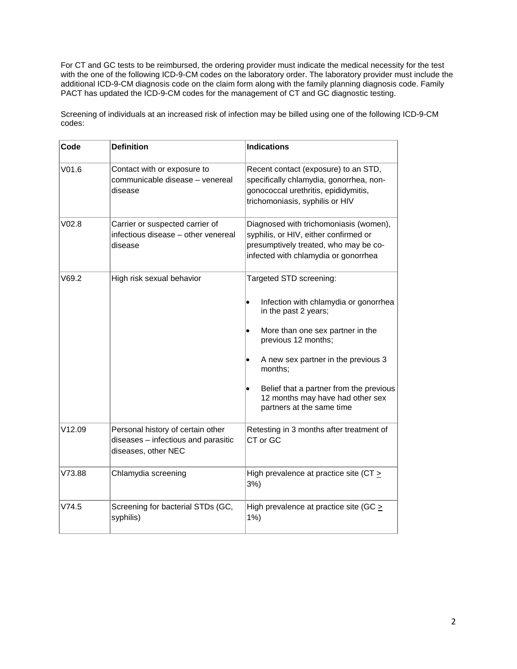For CT and GC tests to be reimbursed, the ordering provider must indicate the medical necessity for the test with the one of the following ICD-9-CM codes on the laboratory order. The laboratory provider must include the additional ICD-9-CM diagnosis code on the claim form along with the family planning diagnosis code. Family PACT has updated the ICD-9-CM codes for the management of CT and GC diagnostic testing.

Screening of individuals at an increased risk of infection may be billed using one of the following ICD-9-CM codes:

| Code              | <b>Definition</b>                                                                               | <b>Indications</b>                                                                                                                                               |
|-------------------|-------------------------------------------------------------------------------------------------|------------------------------------------------------------------------------------------------------------------------------------------------------------------|
| V <sub>01.6</sub> | Contact with or exposure to<br>communicable disease - venereal<br>disease                       | Recent contact (exposure) to an STD,<br>specifically chlamydia, gonorrhea, non-<br>gonococcal urethritis, epididymitis,<br>trichomoniasis, syphilis or HIV       |
| V02.8             | Carrier or suspected carrier of<br>infectious disease - other venereal<br>disease               | Diagnosed with trichomoniasis (women),<br>syphilis, or HIV, either confirmed or<br>presumptively treated, who may be co-<br>infected with chlamydia or gonorrhea |
| V69.2             | High risk sexual behavior                                                                       | Targeted STD screening:                                                                                                                                          |
|                   |                                                                                                 | Infection with chlamydia or gonorrhea<br>$\bullet$<br>in the past 2 years;                                                                                       |
|                   |                                                                                                 | More than one sex partner in the<br>previous 12 months;                                                                                                          |
|                   |                                                                                                 | A new sex partner in the previous 3<br>$\bullet$<br>months;                                                                                                      |
|                   |                                                                                                 | Belief that a partner from the previous<br>12 months may have had other sex<br>partners at the same time                                                         |
| V12.09            | Personal history of certain other<br>diseases - infectious and parasitic<br>diseases, other NEC | Retesting in 3 months after treatment of<br>CT or GC                                                                                                             |
| V73.88            | Chlamydia screening                                                                             | High prevalence at practice site (CT ><br>$3%$ )                                                                                                                 |
| V74.5             | Screening for bacterial STDs (GC,<br>syphilis)                                                  | High prevalence at practice site (GC $\geq$<br>1%                                                                                                                |